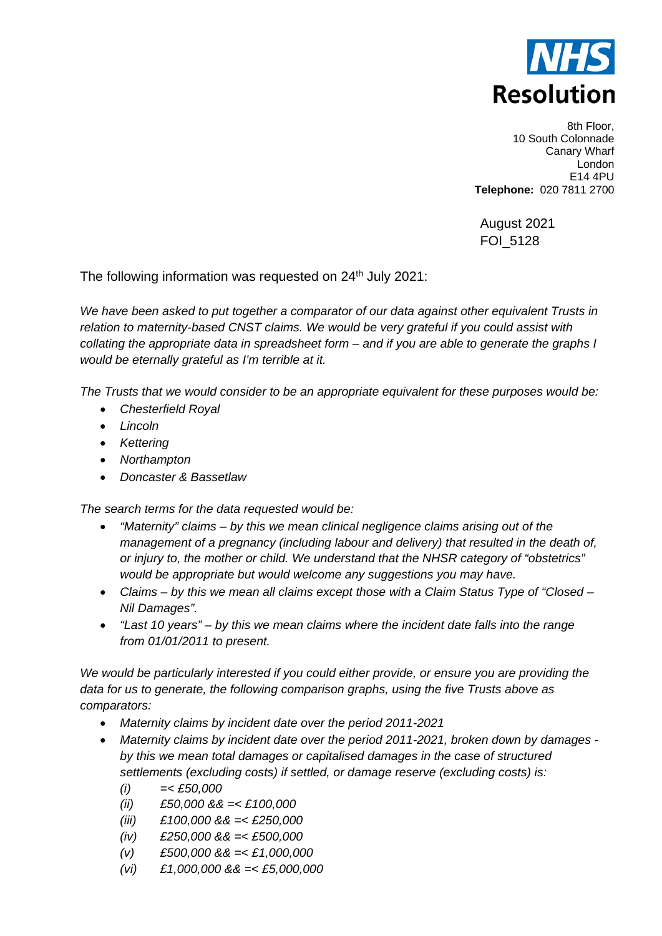

8th Floor, 10 South Colonnade Canary Wharf London E14 4PU **Telephone:** 020 7811 2700

August 2021 FOI\_5128

The following information was requested on 24<sup>th</sup> July 2021:

*We have been asked to put together a comparator of our data against other equivalent Trusts in relation to maternity-based CNST claims. We would be very grateful if you could assist with collating the appropriate data in spreadsheet form – and if you are able to generate the graphs I would be eternally grateful as I'm terrible at it.*

*The Trusts that we would consider to be an appropriate equivalent for these purposes would be:*

- *Chesterfield Royal*
- *Lincoln*
- *Kettering*
- *Northampton*
- *Doncaster & Bassetlaw*

*The search terms for the data requested would be:*

- *"Maternity" claims – by this we mean clinical negligence claims arising out of the management of a pregnancy (including labour and delivery) that resulted in the death of, or injury to, the mother or child. We understand that the NHSR category of "obstetrics" would be appropriate but would welcome any suggestions you may have.*
- *Claims – by this we mean all claims except those with a Claim Status Type of "Closed – Nil Damages".*
- *"Last 10 years" – by this we mean claims where the incident date falls into the range from 01/01/2011 to present.*

*We would be particularly interested if you could either provide, or ensure you are providing the data for us to generate, the following comparison graphs, using the five Trusts above as comparators:*

- *Maternity claims by incident date over the period 2011-2021*
- *Maternity claims by incident date over the period 2011-2021, broken down by damages by this we mean total damages or capitalised damages in the case of structured settlements (excluding costs) if settled, or damage reserve (excluding costs) is:*
	- *(i) =< £50,000*
	- *(ii) £50,000 && =< £100,000*
	- *(iii) £100,000 && =< £250,000*
	- *(iv) £250,000 && =< £500,000*
	- *(v) £500,000 && =< £1,000,000*
	- *(vi) £1,000,000 && =< £5,000,000*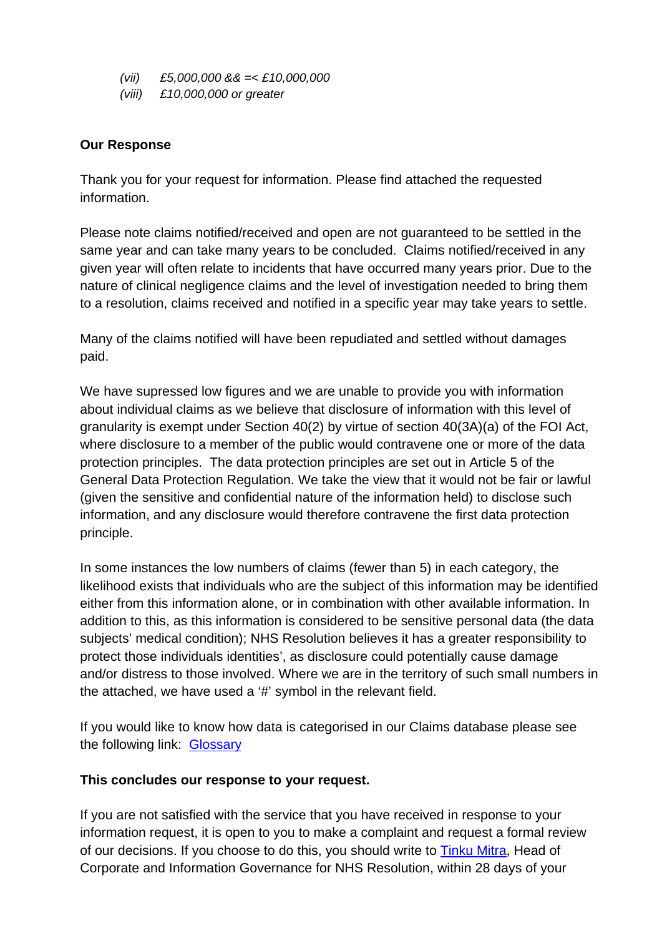- *(vii) £5,000,000 && =< £10,000,000*
- *(viii) £10,000,000 or greater*

## **Our Response**

Thank you for your request for information. Please find attached the requested information.

Please note claims notified/received and open are not guaranteed to be settled in the same year and can take many years to be concluded. Claims notified/received in any given year will often relate to incidents that have occurred many years prior. Due to the nature of clinical negligence claims and the level of investigation needed to bring them to a resolution, claims received and notified in a specific year may take years to settle.

Many of the claims notified will have been repudiated and settled without damages paid.

We have supressed low figures and we are unable to provide you with information about individual claims as we believe that disclosure of information with this level of granularity is exempt under Section 40(2) by virtue of section 40(3A)(a) of the FOI Act, where disclosure to a member of the public would contravene one or more of the data protection principles. The data protection principles are set out in Article 5 of the General Data Protection Regulation. We take the view that it would not be fair or lawful (given the sensitive and confidential nature of the information held) to disclose such information, and any disclosure would therefore contravene the first data protection principle.

In some instances the low numbers of claims (fewer than 5) in each category, the likelihood exists that individuals who are the subject of this information may be identified either from this information alone, or in combination with other available information. In addition to this, as this information is considered to be sensitive personal data (the data subjects' medical condition); NHS Resolution believes it has a greater responsibility to protect those individuals identities', as disclosure could potentially cause damage and/or distress to those involved. Where we are in the territory of such small numbers in the attached, we have used a '#' symbol in the relevant field.

If you would like to know how data is categorised in our Claims database please see the following link: **[Glossary](https://resolution.nhs.uk/resources/understanding-nhs-resolution-data/)** 

## **This concludes our response to your request.**

If you are not satisfied with the service that you have received in response to your information request, it is open to you to make a complaint and request a formal review of our decisions. If you choose to do this, you should write to [Tinku Mitra,](mailto:tinku.mitra@nhsla.com) Head of Corporate and Information Governance for NHS Resolution, within 28 days of your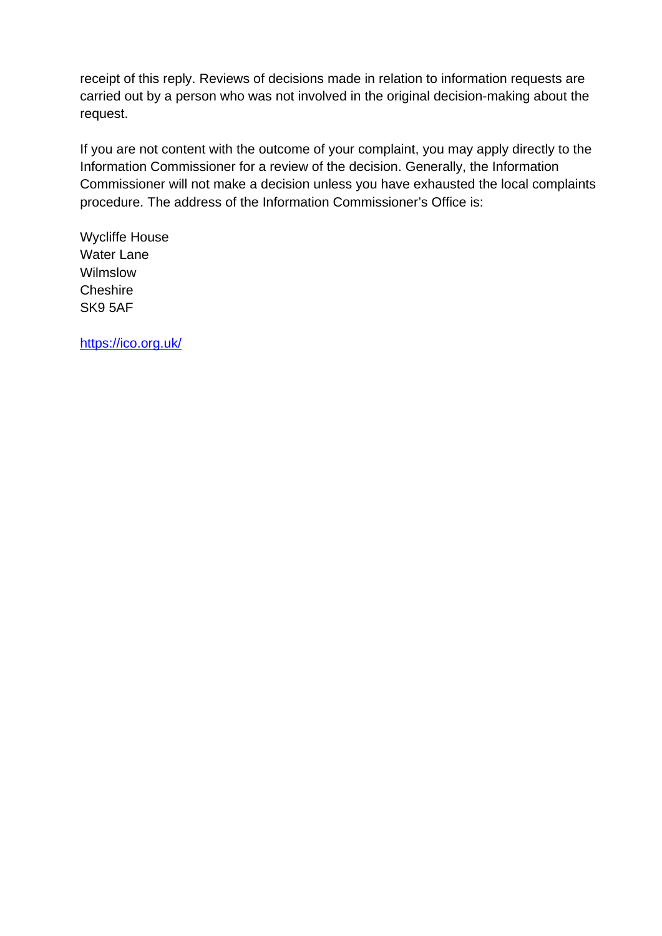receipt of this reply. Reviews of decisions made in relation to information requests are carried out by a person who was not involved in the original decision-making about the request.

If you are not content with the outcome of your complaint, you may apply directly to the Information Commissioner for a review of the decision. Generally, the Information Commissioner will not make a decision unless you have exhausted the local complaints procedure. The address of the Information Commissioner's Office is:

Wycliffe House Water Lane Wilmslow **Cheshire** SK9 5AF

<https://ico.org.uk/>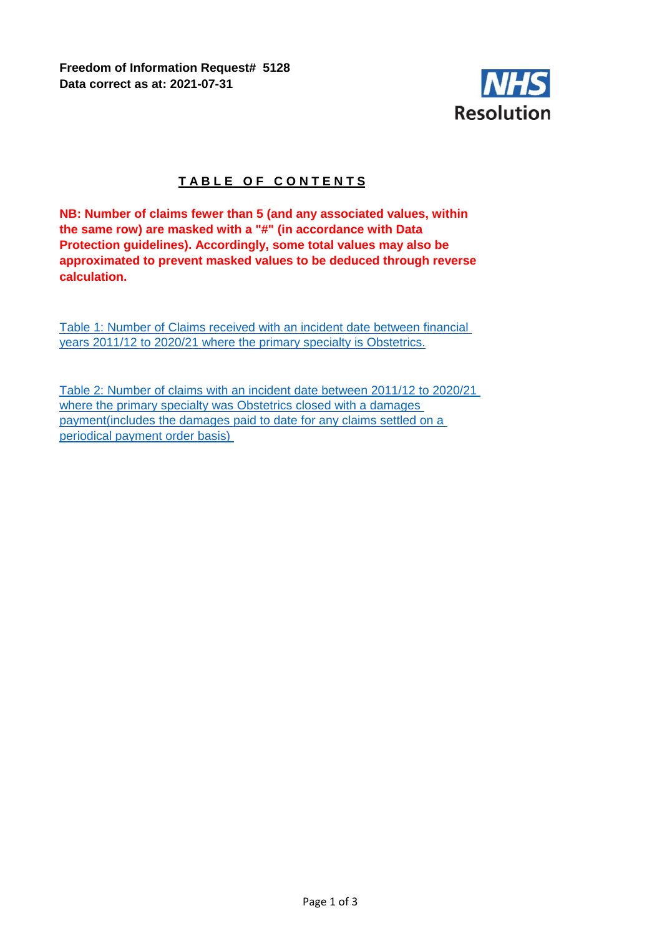**Freedom of Information Request# 5128 Data correct as at: 2021-07-31**



## **TABLE OF CONTENTS**

**NB: Number of claims fewer than 5 (and any associated values, within the same row) are masked with a "#" (in accordance with Data Protection guidelines). Accordingly, some total values may also be approximated to prevent masked values to be deduced through reverse calculation.**

Table 1: Number of Claims received with an incident date between financial years 2011/12 to 2020/21 where the primary specialty is Obstetrics.

[Table 2: Number of claims with an incident date between 2011/12 to 2020/21](#page-5-0)  [where the primary spe](#page-5-0)cialty was Obstetrics closed with a damages [payment\(includes the](#page-5-0) damages paid to date for any claims settled on a [periodical payment or](#page-5-0)der basis)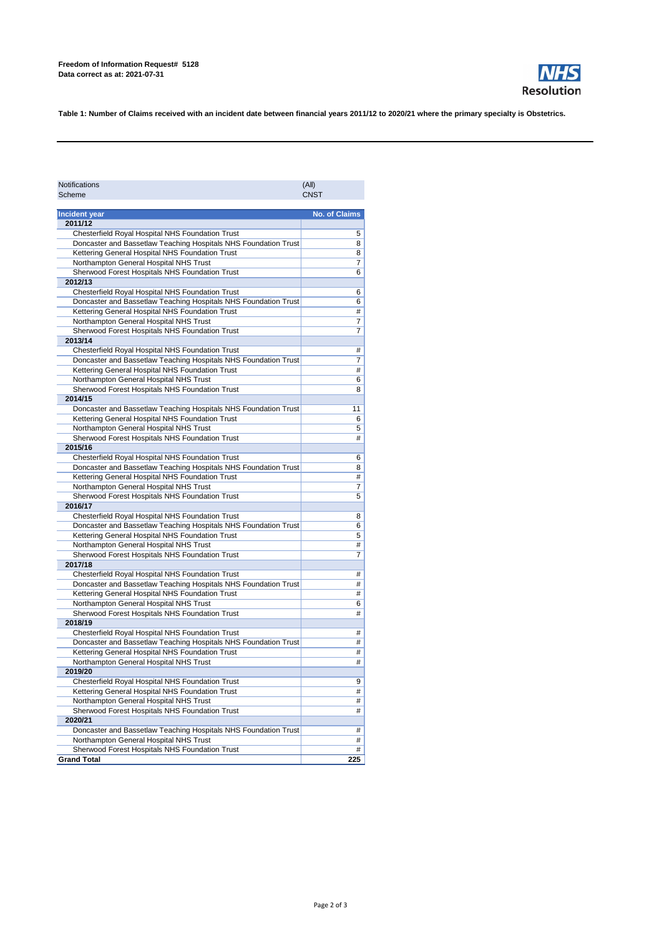| <b>Notifications</b> | (All)       |
|----------------------|-------------|
| <b>Scheme</b>        | <b>CNST</b> |

| <b>Incident year</b>                                            | <b>No. of Claims</b> |
|-----------------------------------------------------------------|----------------------|
| 2011/12                                                         |                      |
| <b>Chesterfield Royal Hospital NHS Foundation Trust</b>         | 5                    |
| Doncaster and Bassetlaw Teaching Hospitals NHS Foundation Trust | 8                    |
| Kettering General Hospital NHS Foundation Trust                 | 8                    |
| Northampton General Hospital NHS Trust                          | 7                    |
| Sherwood Forest Hospitals NHS Foundation Trust                  | 6                    |
| 2012/13                                                         |                      |
| <b>Chesterfield Royal Hospital NHS Foundation Trust</b>         | 6                    |
| Doncaster and Bassetlaw Teaching Hospitals NHS Foundation Trust | 6                    |
| Kettering General Hospital NHS Foundation Trust                 | #                    |
| Northampton General Hospital NHS Trust                          | $\overline{7}$       |
| Sherwood Forest Hospitals NHS Foundation Trust                  | $\overline{7}$       |
| 2013/14                                                         |                      |
| <b>Chesterfield Royal Hospital NHS Foundation Trust</b>         | #                    |
| Doncaster and Bassetlaw Teaching Hospitals NHS Foundation Trust | $\overline{7}$       |
| Kettering General Hospital NHS Foundation Trust                 | #                    |
| Northampton General Hospital NHS Trust                          | 6                    |
| Sherwood Forest Hospitals NHS Foundation Trust                  | 8                    |
| 2014/15                                                         |                      |
| Doncaster and Bassetlaw Teaching Hospitals NHS Foundation Trust | 11                   |
| Kettering General Hospital NHS Foundation Trust                 | 6                    |
| Northampton General Hospital NHS Trust                          | 5                    |
| Sherwood Forest Hospitals NHS Foundation Trust                  | #                    |
| 2015/16                                                         |                      |
| <b>Chesterfield Royal Hospital NHS Foundation Trust</b>         | 6                    |
| Doncaster and Bassetlaw Teaching Hospitals NHS Foundation Trust | 8                    |
| Kettering General Hospital NHS Foundation Trust                 | #                    |
| Northampton General Hospital NHS Trust                          | 7                    |
| Sherwood Forest Hospitals NHS Foundation Trust                  | 5                    |
| 2016/17                                                         |                      |
| Chesterfield Royal Hospital NHS Foundation Trust                | 8                    |
| Doncaster and Bassetlaw Teaching Hospitals NHS Foundation Trust | 6                    |
| Kettering General Hospital NHS Foundation Trust                 | 5                    |
| Northampton General Hospital NHS Trust                          | #                    |
| Sherwood Forest Hospitals NHS Foundation Trust                  | $\overline{7}$       |
| 2017/18                                                         |                      |
| <b>Chesterfield Royal Hospital NHS Foundation Trust</b>         | #                    |
| Doncaster and Bassetlaw Teaching Hospitals NHS Foundation Trust | #                    |
| Kettering General Hospital NHS Foundation Trust                 | #                    |
| Northampton General Hospital NHS Trust                          | 6                    |
| Sherwood Forest Hospitals NHS Foundation Trust                  | #                    |
| 2018/19                                                         |                      |
| <b>Chesterfield Royal Hospital NHS Foundation Trust</b>         | #                    |
| Doncaster and Bassetlaw Teaching Hospitals NHS Foundation Trust | #                    |
| Kettering General Hospital NHS Foundation Trust                 | #                    |
| Northampton General Hospital NHS Trust                          | #                    |
| 2019/20                                                         |                      |
| <b>Chesterfield Royal Hospital NHS Foundation Trust</b>         | 9                    |
| Kettering General Hospital NHS Foundation Trust                 | #                    |
| Northampton General Hospital NHS Trust                          | #                    |
| Sherwood Forest Hospitals NHS Foundation Trust                  | #                    |
| 2020/21                                                         |                      |
| Doncaster and Bassetlaw Teaching Hospitals NHS Foundation Trust | #                    |
| Northampton General Hospital NHS Trust                          | #                    |
| Sherwood Forest Hospitals NHS Foundation Trust                  | #                    |
| <b>Grand Total</b>                                              | 225                  |



**Table 1: Number of Claims received with an incident date between financial years 2011/12 to 2020/21 where the primary specialty is Obstetrics.**